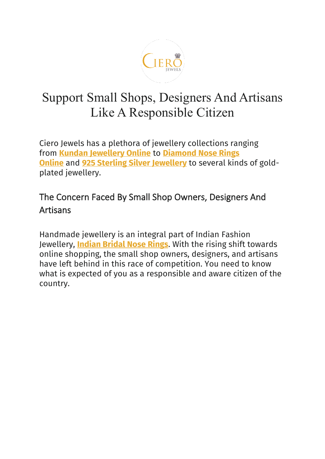

# Support Small Shops, Designers And Artisans Like A Responsible Citizen

Ciero Jewels has a plethora of jewellery collections ranging from **[Kundan Jewellery Online](https://www.cierojewels.com/kundan-jewellery/)** to **[Diamond Nose Rings](https://www.cierojewels.com/kundan-jewellery/kundan-nose-ring)  [Online](https://www.cierojewels.com/kundan-jewellery/kundan-nose-ring)** and **[925 Sterling Silver Jewellery](https://www.cierojewels.com/silver-jewellery)** to several kinds of goldplated jewellery.

### The Concern Faced By Small Shop Owners, Designers And Artisans

Handmade jewellery is an integral part of Indian Fashion Jewellery, **[Indian Bridal Nose Rings](https://www.cierojewels.com/traditional-jewellery/traditional-nose-ring)**. With the rising shift towards online shopping, the small shop owners, designers, and artisans have left behind in this race of competition. You need to know what is expected of you as a responsible and aware citizen of the country.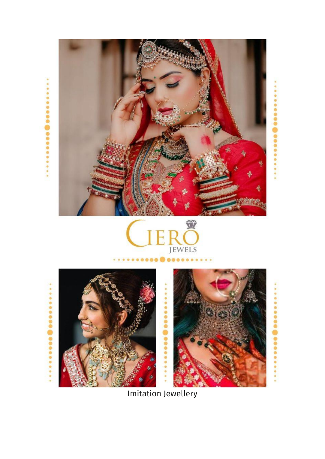









ö ä

Imitation Jewellery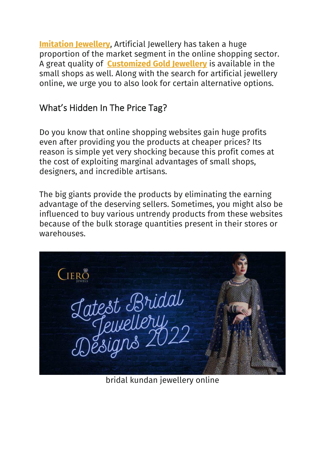**[Imitation Jewellery](https://www.cierojewels.com/)**, Artificial Jewellery has taken a huge proportion of the market segment in the online shopping sector. A great quality of **[Customized Gold Jewellery](https://www.cierojewels.com/gold-jewellery)** is available in the small shops as well. Along with the search for artificial jewellery online, we urge you to also look for certain alternative options.

#### What's Hidden In The Price Tag?

Do you know that online shopping websites gain huge profits even after providing you the products at cheaper prices? Its reason is simple yet very shocking because this profit comes at the cost of exploiting marginal advantages of small shops, designers, and incredible artisans.

The big giants provide the products by eliminating the earning advantage of the deserving sellers. Sometimes, you might also be influenced to buy various untrendy products from these websites because of the bulk storage quantities present in their stores or warehouses.

**CIERO** Latest Bridal<br>Jewellery<br>Designs 2022

bridal kundan jewellery online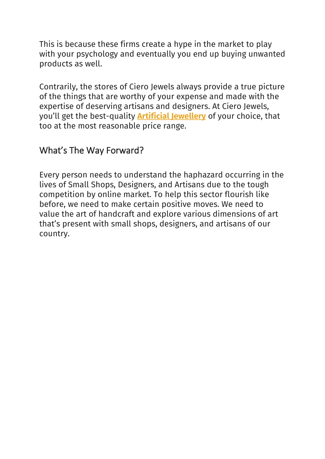This is because these firms create a hype in the market to play with your psychology and eventually you end up buying unwanted products as well.

Contrarily, the stores of Ciero Jewels always provide a true picture of the things that are worthy of your expense and made with the expertise of deserving artisans and designers. At Ciero Jewels, you'll get the best-quality **[Artificial Jewellery](https://www.cierojewels.com/)** of your choice, that too at the most reasonable price range.

#### What's The Way Forward?

Every person needs to understand the haphazard occurring in the lives of Small Shops, Designers, and Artisans due to the tough competition by online market. To help this sector flourish like before, we need to make certain positive moves. We need to value the art of handcraft and explore various dimensions of art that's present with small shops, designers, and artisans of our country.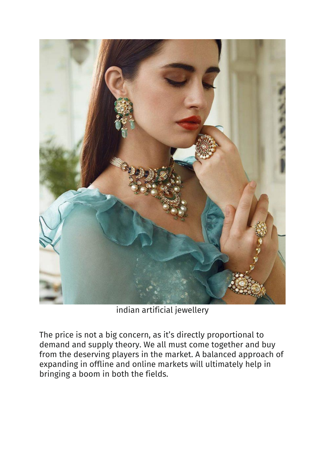

indian artificial jewellery

The price is not a big concern, as it's directly proportional to demand and supply theory. We all must come together and buy from the deserving players in the market. A balanced approach of expanding in offline and online markets will ultimately help in bringing a boom in both the fields.